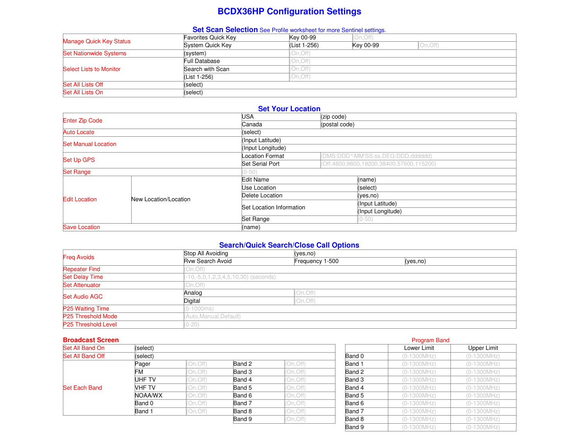# **BCDX36HP Configuration Settings**

## **Set Scan Selection** See Profile worksheet for more Sentinel settings.

| Manage Quick Key Status        | <b>Favorites Quick Key</b> | Key 00-99    | (On, Off) |           |  |
|--------------------------------|----------------------------|--------------|-----------|-----------|--|
|                                | System Quick Key           | (List 1-256) | Key 00-99 | (On, Off) |  |
| <b>Set Nationwide Systems</b>  | (system)                   | On, Off)     |           |           |  |
|                                | Full Database              | On, Off)     |           |           |  |
| <b>Select Lists to Monitor</b> | Search with Scan           | On, Off)     |           |           |  |
|                                | (List 1-256)               | On, Off)     |           |           |  |
| Set All Lists Off              | (select)                   |              |           |           |  |
| Set All Lists On               | (select)                   |              |           |           |  |

### **Set Your Location**

| <b>Enter Zip Code</b>      |                       | USA                      | (zip code)    |                                                  |  |
|----------------------------|-----------------------|--------------------------|---------------|--------------------------------------------------|--|
|                            | Canada                |                          | (postal code) |                                                  |  |
| <b>Auto Locate</b>         |                       | (select)                 |               |                                                  |  |
| <b>Set Manual Location</b> |                       |                          |               |                                                  |  |
|                            |                       | (Input Longitude)        |               |                                                  |  |
| <b>Set Up GPS</b>          |                       | <b>Location Format</b>   |               | (DMS:DDD <sup>o</sup> -MM'SS.ss, DEG:DDD.dddddd) |  |
|                            |                       | <b>Set Serial Port</b>   |               | (Off, 4800, 9600, 19200, 38400, 57600, 115200)   |  |
| <b>Set Range</b>           |                       | $(0 - 50)$               |               |                                                  |  |
|                            |                       | Edit Name                |               | (name)                                           |  |
|                            |                       | Use Location             |               | (select)                                         |  |
| <b>Edit Location</b>       | New Location/Location | Delete Location          |               | (yes,no)                                         |  |
|                            |                       | Set Location Information |               | (Input Latitude)                                 |  |
|                            |                       |                          |               | (Input Longitude)                                |  |
|                            |                       | Set Range                |               | $(0-50)$                                         |  |
| <b>Save Location</b>       |                       | (name)                   |               |                                                  |  |

## **Search/Quick Search/Close Call Options**

|                            | Stop All Avoiding       | (yes,no)                               |          |  |  |  |  |
|----------------------------|-------------------------|----------------------------------------|----------|--|--|--|--|
| <b>Freg Avoids</b>         | <b>Rvw Search Avoid</b> | Frequency 1-500                        | (yes,no) |  |  |  |  |
| <b>Repeater Find</b>       | On, Off)                |                                        |          |  |  |  |  |
| <b>Set Delay Time</b>      |                         | $(-10,-5,0,1,2,3,4,5,10,30)$ (seconds) |          |  |  |  |  |
| <b>Set Attenuator</b>      | (On,Off)                |                                        |          |  |  |  |  |
| <b>Set Audio AGC</b>       | Analog                  | (On, Off)                              |          |  |  |  |  |
|                            | Digital                 | (On, Off)                              |          |  |  |  |  |
| <b>P25 Waiting Time</b>    | $(0-1000ms)$            |                                        |          |  |  |  |  |
| P25 Threshold Mode         | Auto, Manual, Default)  |                                        |          |  |  |  |  |
| <b>P25 Threshold Level</b> | $0 - 20$                |                                        |          |  |  |  |  |

### **Broadcast Screen** Program Band

| Set All Band On      | (select)         |           |        |          | Lower Limit      | Upper Limit   |               |
|----------------------|------------------|-----------|--------|----------|------------------|---------------|---------------|
| Set All Band Off     | (select)         |           |        |          | Band 0           | $(0-1300MHz)$ | $(0-1300MHz)$ |
|                      | Pager            | (On, Off) | Band 2 | On, Off) | Band 1           | $(0-1300MHz)$ | $(0-1300MHz)$ |
|                      | FM               | (On, Off) | Band 3 | On, Off) | Band 2           | $(0-1300MHz)$ | $(0-1300MHz)$ |
|                      | UHF TV<br>VHF TV | (On, Off) | Band 4 | On, Off) | Band 3<br>Band 4 | $(0-1300MHz)$ | $(0-1300MHz)$ |
| <b>Set Each Band</b> |                  | (On, Off) | Band 5 | On, Off) |                  | $(0-1300MHz)$ | $(0-1300MHz)$ |
|                      | NOAA/WX          | (On, Off) | Band 6 | On, Off) | Band 5           | $(0-1300MHz)$ | $(0-1300MHz)$ |
|                      | Band 0           | (On, Off) | Band 7 | On, Off) | Band 6           | $(0-1300MHz)$ | $(0-1300MHz)$ |
|                      | Band 1           | (On,Off)  | Band 8 | On, Off) | Band 7           | $(0-1300MHz)$ | $(0-1300MHz)$ |
|                      |                  |           | Band 9 | On, Off) | Band 8           | $(0-1300MHz)$ | $(0-1300MHz)$ |
|                      |                  |           |        |          |                  |               |               |

|        |           |        | Lower Limit   | Upper Limit |
|--------|-----------|--------|---------------|-------------|
|        |           | Band 0 | $(0-1300MHz)$ | (0-1300MHz) |
| Band 2 | (On, Off) | Band 1 | (0-1300MHz)   | (0-1300MHz) |
| Band 3 | On, Off)  | Band 2 | $(0-1300MHz)$ | (0-1300MHz) |
| Band 4 | (On, Off) | Band 3 | $(0-1300MHz)$ | (0-1300MHz) |
| Band 5 | On, Off)  | Band 4 | $(0-1300MHz)$ | (0-1300MHz) |
| Band 6 | On, Off)  | Band 5 | (0-1300MHz)   | (0-1300MHz) |
| Band 7 | On, Off)  | Band 6 | (0-1300MHz)   | (0-1300MHz) |
| Band 8 | On, Off)  | Band 7 | $(0-1300MHz)$ | (0-1300MHz) |
| Band 9 | (On, Off) | Band 8 | $(0-1300MHz)$ | (0-1300MHz) |
|        |           | Band 9 | (0-1300MHz)   | (0-1300MHz) |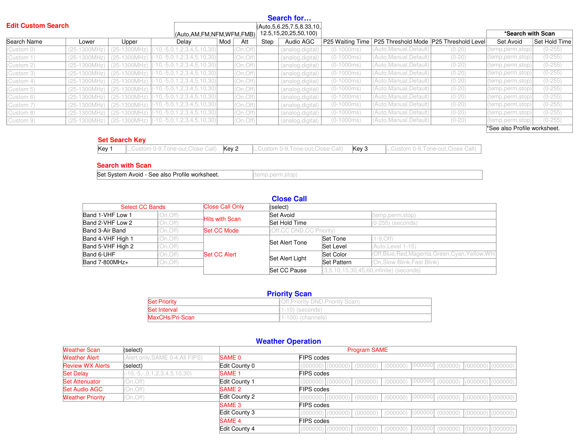| <b>Edit Custom Search</b> |                  |                           |                                     |           |      | Search for<br>(Auto, 5, 6.25, 7.5, 8.33, 10, |                  |                                        |          |                              |               |
|---------------------------|------------------|---------------------------|-------------------------------------|-----------|------|----------------------------------------------|------------------|----------------------------------------|----------|------------------------------|---------------|
|                           |                  |                           | (Auto, AM, FM, NFM, WFM, FMB)       |           |      | 12.5, 15, 20, 25, 50, 100)                   |                  |                                        |          | *Search with Scan            |               |
| Search Name               | Lower            | Upper                     | Mod<br>Delay                        | Att       | Step | Audio AGC                                    | P25 Waiting Time | P25 Threshold Mode P25 Threshold Level |          | Set Avoid                    | Set Hold Time |
| (Custom 0)                | $(25-1300MHz)$   | $(25-1300MHz)$            | $-10, -5, 0, 1, 2, 3, 4, 5, 10, 30$ | (On, Off) |      | (analog,digital)                             | $(0-1000ms)$     | (Auto,Manual,Default)                  | $(0-20)$ | (temp,perm,stop)             | $(0-255)$     |
| (Custom 1)                | $(25-1300MHz)$   | $(25-1300MHz)$            | $-10, -5, 0, 1, 2, 3, 4, 5, 10, 30$ | (On, Off) |      | (analog, digital)                            | $(0-1000ms)$     | (Auto, Manual, Default)                | $(0-20)$ | (temp,perm,stop)             | $(0-255)$     |
| (Custom 2)                | $(25-1300MHz)$   | $(25-1300MHz)$            | $-10, -5, 0, 1, 2, 3, 4, 5, 10, 30$ | (On, Off) |      | (analog, digital)                            | $(0-1000ms)$     | (Auto,Manual,Default)                  | $(0-20)$ | (temp,perm,stop)             | $(0-255)$     |
| (Custom 3)                | $(25-1300MHz)$   | $(25-1300MHz)$            | $-10, -5, 0, 1, 2, 3, 4, 5, 10, 30$ | (On, Off) |      | (analog, digital)                            | $(0-1000ms)$     | (Auto, Manual, Default)                | $(0-20)$ | (temp,perm,stop)             | $(0-255)$     |
| (Custom 4)                | $(25-1300MHz)$   | $(25-1300MHz)$            | $-10, -5, 0, 1, 2, 3, 4, 5, 10, 30$ | (On, Off) |      | (analog, digital)                            | $(0-1000ms)$     | (Auto,Manual,Default)                  | $(0-20)$ | (temp,perm,stop)             | $(0-255)$     |
| (Custom 5)                | $(25-1300)$ MHz) | $(25-1300MHz)$            | $-10, -5, 0, 1, 2, 3, 4, 5, 10, 30$ | (On, Off) |      | (analog, digital)                            | $(0-1000ms)$     | (Auto, Manual, Default)                | $(0-20)$ | (temp,perm,stop)             | $(0-255)$     |
| (Custom 6)                | $(25-1300MHz)$   | $(25-1300MHz)$            | $-10, -5, 0, 1, 2, 3, 4, 5, 10, 30$ | (On, Off) |      | (analog, digital)                            | $(0-1000ms)$     | (Auto, Manual, Default)                | $(0-20)$ | (temp,perm,stop)             | $(0-255)$     |
| (Custom 7)                | $(25-1300MHz)$   | $(25-1300MHz)$            | $-10, -5, 0, 1, 2, 3, 4, 5, 10, 30$ | (On, Off) |      | (analog, digital)                            | $(0-1000ms)$     | (Auto, Manual, Default)                | $(0-20)$ | (temp,perm,stop)             | $(0-255)$     |
| (Custom 8)                | $(25-1300MHz)$   | $(25-1300MHz)$            | $-10, -5, 0, 1, 2, 3, 4, 5, 10, 30$ | (On, Off) |      | (analog, digital)                            | $(0-1000ms)$     | (Auto, Manual, Default)                | $(0-20)$ | (temp,perm,stop)             | $(0-255)$     |
| (Custom 9)                |                  | (25-1300MHz) (25-1300MHz) | $-10, -5, 0, 1, 2, 3, 4, 5, 10, 30$ | (On, Off) |      | (analog, digital)                            | $(0-1000ms)$     | (Auto, Manual, Default)                | $(0-20)$ | (temp.perm.stop)             | $(0-255)$     |
|                           |                  |                           |                                     |           |      |                                              |                  |                                        |          | *See also Profile worksheet. |               |

### **Set Search Key**

|  | <b>Key 1</b> (.,Custom 0-9,Tone-out,Close Call) $\overline{K}$ ey 2 (.,Custom 0-9,Tone-out,Close Call) $\overline{K}$ ey 3 (.,Custom 0-9,Tone-out,Close Call) |  |
|--|---------------------------------------------------------------------------------------------------------------------------------------------------------------|--|

### **Search with Scan**

Set System Avoid - See also Profile worksheet. (temp,perm,stop)

| _ | Π<br>и |
|---|--------|
|---|--------|

| <b>Select CC Bands</b> |           | <b>Close Call Only</b> | (select)                 |             |                                                    |  |  |
|------------------------|-----------|------------------------|--------------------------|-------------|----------------------------------------------------|--|--|
| Band 1-VHF Low 1       | (On,Off)  |                        | Set Avoid                |             | (temp,perm,stop)                                   |  |  |
| Band 2-VHF Low 2       | (On, Off) | <b>Hits with Scan</b>  | Set Hold Time            |             | (0-255) (seconds)                                  |  |  |
| Band 3-Air Band        | (On.Off)  | <b>Set CC Mode</b>     | (Off.CC DND.CC Priority) |             |                                                    |  |  |
| Band 4-VHF High 1      | 'On, Off) |                        | Set Alert Tone           | Set Tone    | $(1 - 9, Off)$                                     |  |  |
| Band 5-VHF High 2      | (On, Off) |                        |                          | Set Level   | (Auto, Level 1-15)                                 |  |  |
| Band 6-UHF             | (On, Off) | Set CC Alert           |                          | Set Color   | (Off, Blue, Red, Magenta, Green, Cyan, Yellow, Whi |  |  |
| Band 7-800MHz+         | On, Off)  |                        | Set Alert Light          | Set Pattern | (On, Slow Blink, Fast Blink)                       |  |  |
|                        |           |                        | Set CC Pause             |             | $(3.5.10.15.30.45.60,$ infinite) (seconds)         |  |  |

| <b>Priority Scan</b> |                                  |  |  |  |
|----------------------|----------------------------------|--|--|--|
| <b>Set Priority</b>  | (Off.Priority DND.Priority Scan) |  |  |  |
| <b>Set Interval</b>  | $(1-10)$ (seconds)               |  |  |  |
| MaxCHs/Pri-Scan      | $(1-100)$ (channels)             |  |  |  |

|  |  |  | <b>Weather Operation</b> |
|--|--|--|--------------------------|
|--|--|--|--------------------------|

| <b>Weather Scan</b>     | (select)                             |                   | <b>Program SAME</b>                                                                           |
|-------------------------|--------------------------------------|-------------------|-----------------------------------------------------------------------------------------------|
| <b>Weather Alert</b>    | (Alert only, SAME 0-4, All FIPS)     | SAME 0            | FIPS codes                                                                                    |
| <b>Review WX Alerts</b> | (select)                             | Edit County 0     | (000000)<br>$(000000)$ $(000000)$ $(000000)$<br>$(000000)$ $(000000)$ $(000000)$<br>(000000)  |
| <b>Set Delay</b>        | $-10, -5, -0, 1, 2, 3, 4, 5, 10, 30$ | <b>SAME 1</b>     | <b>FIPS codes</b>                                                                             |
| <b>Set Attenuator</b>   | On, Off)                             | Edit County 1     | $(000000   (000000)   (000000)   (000000)$<br>$(000000)   (000000)   (000000)   (000000)$     |
| <b>Set Audio AGC</b>    | (On, Off)                            | SAME 2            | <b>FIPS codes</b>                                                                             |
| <b>Weather Priority</b> | (On, Off)                            | Edit County 2     | $(000000)$ $(000000)$<br>(000000)<br>$(000000)$ $(000000)$ $(000000)$<br>(000000)<br>(000000) |
|                         |                                      | SAME <sub>3</sub> | <b>FIPS codes</b>                                                                             |
|                         |                                      | Edit County 3     | (000000)<br>$(000000)$ $(000000)$ $(000000)$<br>$(000000)$ $(000000)$ $(000000)$<br>(000000)  |
|                         |                                      | <b>SAME 4</b>     | <b>FIPS codes</b>                                                                             |
|                         |                                      | Edit County 4     | $(000000   (000000)   (000000)   (000000)$<br>$(000000)$ $(000000)$ $(000000)$<br>(000000)    |
|                         |                                      |                   |                                                                                               |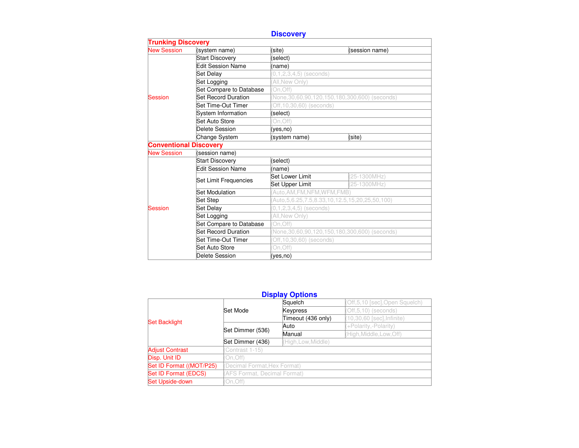## **Discovery**

| <b>Trunking Discovery</b>                                      |                            |                                                          |                                                       |  |  |  |
|----------------------------------------------------------------|----------------------------|----------------------------------------------------------|-------------------------------------------------------|--|--|--|
|                                                                | (system name)              | (site)                                                   | (session name)                                        |  |  |  |
|                                                                | <b>Start Discovery</b>     | (select)                                                 |                                                       |  |  |  |
|                                                                | <b>Edit Session Name</b>   | (name)                                                   |                                                       |  |  |  |
|                                                                | Set Delay                  | $(0,1,2,3,4,5)$ (seconds)                                |                                                       |  |  |  |
|                                                                | Set Logging                | All.New Only)                                            |                                                       |  |  |  |
|                                                                | Set Compare to Database    | On, Off)                                                 |                                                       |  |  |  |
| <b>New Session</b><br>Session<br><b>Conventional Discovery</b> | <b>Set Record Duration</b> |                                                          | (None, 30, 60, 90, 120, 150, 180, 300, 600) (seconds) |  |  |  |
|                                                                | Set Time-Out Timer         | Off, 10, 30, 60) (seconds)                               |                                                       |  |  |  |
|                                                                | System Information         | (select)                                                 |                                                       |  |  |  |
|                                                                | Set Auto Store             | On, Off)                                                 |                                                       |  |  |  |
|                                                                | Delete Session             | (yes,no)                                                 |                                                       |  |  |  |
|                                                                | Change System              | (system name)                                            | (site)                                                |  |  |  |
|                                                                |                            |                                                          |                                                       |  |  |  |
| <b>New Session</b>                                             | (session name)             |                                                          |                                                       |  |  |  |
|                                                                | <b>Start Discovery</b>     | (select)                                                 |                                                       |  |  |  |
|                                                                | <b>Edit Session Name</b>   | (name)                                                   |                                                       |  |  |  |
|                                                                | Set Limit Frequencies      | Set Lower Limit                                          | 25-1300MHz)                                           |  |  |  |
|                                                                |                            | Set Upper Limit                                          | (25-1300MHz)                                          |  |  |  |
|                                                                | Set Modulation             | Auto.AM.FM.NFM.WFM.FMB)                                  |                                                       |  |  |  |
|                                                                | Set Step                   | Auto, 5, 6.25, 7.5, 8.33, 10, 12.5, 15, 20, 25, 50, 100) |                                                       |  |  |  |
| Session                                                        | Set Delay                  | $(0,1,2,3,4,5)$ (seconds)                                |                                                       |  |  |  |
|                                                                | Set Logging                | All.New Only)                                            |                                                       |  |  |  |
|                                                                | Set Compare to Database    | On, Off)                                                 |                                                       |  |  |  |
|                                                                | <b>Set Record Duration</b> | (None, 30, 60, 90, 120, 150, 180, 300, 600) (seconds)    |                                                       |  |  |  |
|                                                                | Set Time-Out Timer         | Off, 10, 30, 60) (seconds)                               |                                                       |  |  |  |
|                                                                | Set Auto Store             | On, Off)                                                 |                                                       |  |  |  |
|                                                                | Delete Session             | (yes.no)                                                 |                                                       |  |  |  |

## **Display Options**

|                          |                                         | Squelch            | (Off,5,10 [sec],Open Squelch) |  |  |  |
|--------------------------|-----------------------------------------|--------------------|-------------------------------|--|--|--|
|                          | Set Mode                                | <b>Keypress</b>    | (Off, 5, 10) (seconds)        |  |  |  |
| <b>Set Backlight</b>     |                                         | Timeout (436 only) | (10,30,60 [sec], Infinite)    |  |  |  |
|                          | Set Dimmer (536)                        | Auto               | (+Polarity,-Polarity)         |  |  |  |
|                          |                                         | Manual             | (High, Middle, Low, Off)      |  |  |  |
|                          | Set Dimmer (436)<br>(High, Low, Middle) |                    |                               |  |  |  |
| <b>Adjust Contrast</b>   | Contrast 1-15)                          |                    |                               |  |  |  |
| Disp. Unit ID            | On.Off)                                 |                    |                               |  |  |  |
| Set ID Format ((MOT/P25) | (Decimal Format, Hex Format)            |                    |                               |  |  |  |
| Set ID Format (EDCS)     | (AFS Format, Decimal Format)            |                    |                               |  |  |  |
| Set Upside-down          | On, Off)                                |                    |                               |  |  |  |